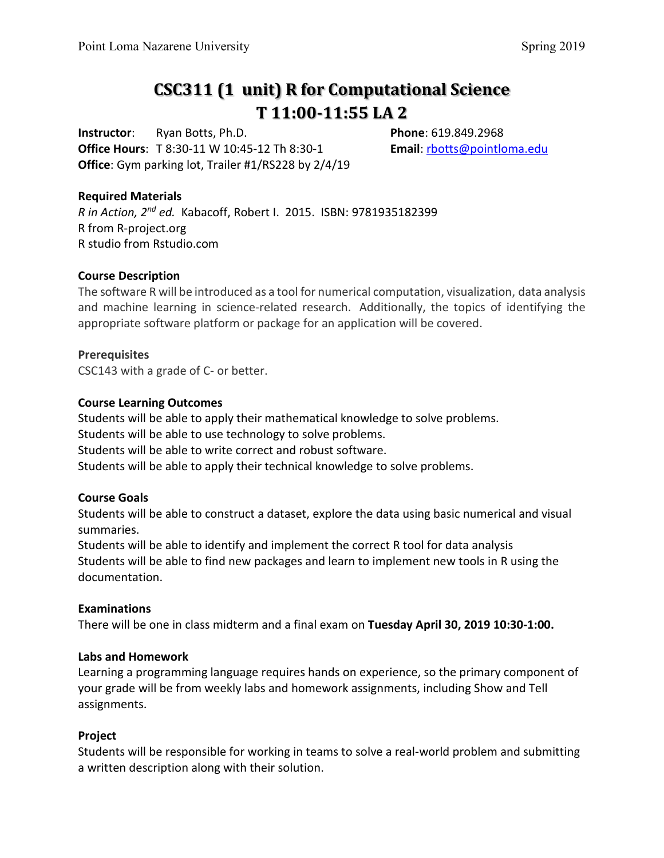# **CSC311 (1 unit) R for Computational Science T 11:00-11:55 LA 2**

**Instructor**: Ryan Botts, Ph.D. **Phone**: 619.849.2968 **Office Hours**: T 8:30-11 W 10:45-12 Th 8:30-1 **Email**: [rbotts@pointloma.edu](mailto:rbotts@pointloma.edu) **Office**: Gym parking lot, Trailer #1/RS228 by 2/4/19

#### **Required Materials**

*R in Action, 2nd ed.* Kabacoff, Robert I. 2015. ISBN: 9781935182399 R from R-project.org R studio from Rstudio.com

#### **Course Description**

The software R will be introduced as a tool for numerical computation, visualization, data analysis and machine learning in science-related research. Additionally, the topics of identifying the appropriate software platform or package for an application will be covered.

#### **Prerequisites**

CSC143 with a grade of C- or better.

#### **Course Learning Outcomes**

Students will be able to apply their mathematical knowledge to solve problems. Students will be able to use technology to solve problems. Students will be able to write correct and robust software. Students will be able to apply their technical knowledge to solve problems.

#### **Course Goals**

Students will be able to construct a dataset, explore the data using basic numerical and visual summaries.

Students will be able to identify and implement the correct R tool for data analysis Students will be able to find new packages and learn to implement new tools in R using the documentation.

#### **Examinations**

There will be one in class midterm and a final exam on **Tuesday April 30, 2019 10:30-1:00.**

#### **Labs and Homework**

Learning a programming language requires hands on experience, so the primary component of your grade will be from weekly labs and homework assignments, including Show and Tell assignments.

#### **Project**

Students will be responsible for working in teams to solve a real-world problem and submitting a written description along with their solution.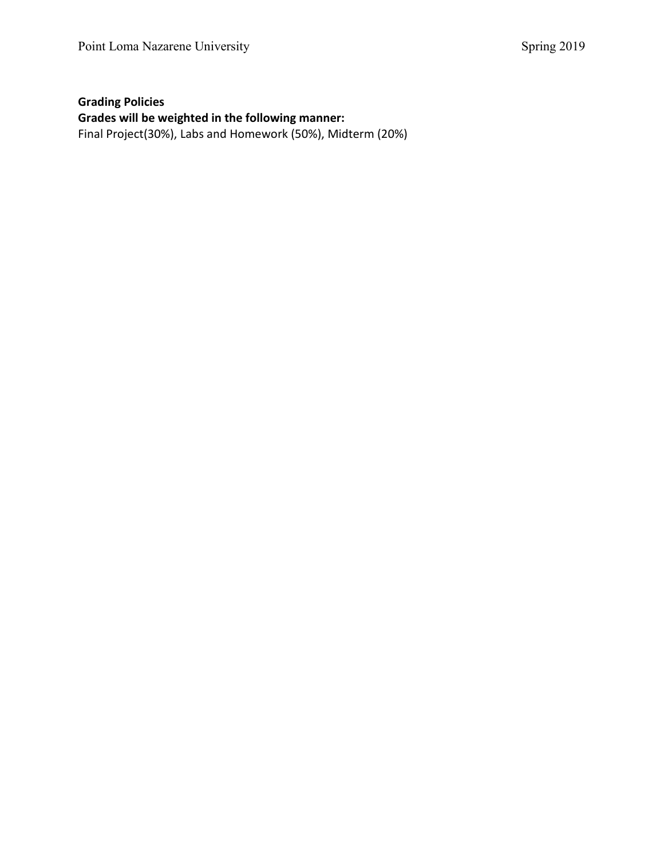# **Grading Policies Grades will be weighted in the following manner:** Final Project(30%), Labs and Homework (50%), Midterm (20%)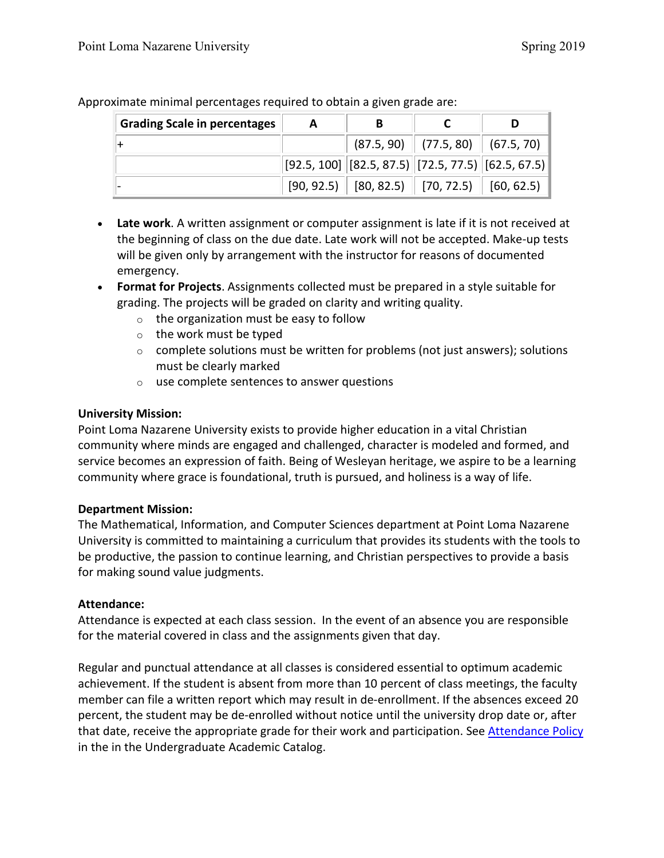| <b>Grading Scale in percentages</b> | A | В |                                                                                |  |
|-------------------------------------|---|---|--------------------------------------------------------------------------------|--|
|                                     |   |   | $(87.5, 90)$ $(77.5, 80)$ $(67.5, 70)$                                         |  |
|                                     |   |   | $\big  [92.5,100] \big  [82.5,87.5] \big  [72.5,77.5] \big  [62.5,67.5] \big $ |  |
|                                     |   |   | $[90, 92.5]$ $[80, 82.5]$ $[70, 72.5]$ $[60, 62.5]$                            |  |

Approximate minimal percentages required to obtain a given grade are:

- **Late work**. A written assignment or computer assignment is late if it is not received at the beginning of class on the due date. Late work will not be accepted. Make-up tests will be given only by arrangement with the instructor for reasons of documented emergency.
- **Format for Projects**. Assignments collected must be prepared in a style suitable for grading. The projects will be graded on clarity and writing quality.
	- $\circ$  the organization must be easy to follow
	- o the work must be typed
	- $\circ$  complete solutions must be written for problems (not just answers); solutions must be clearly marked
	- o use complete sentences to answer questions

# **University Mission:**

Point Loma Nazarene University exists to provide higher education in a vital Christian community where minds are engaged and challenged, character is modeled and formed, and service becomes an expression of faith. Being of Wesleyan heritage, we aspire to be a learning community where grace is foundational, truth is pursued, and holiness is a way of life.

# **Department Mission:**

The Mathematical, Information, and Computer Sciences department at Point Loma Nazarene University is committed to maintaining a curriculum that provides its students with the tools to be productive, the passion to continue learning, and Christian perspectives to provide a basis for making sound value judgments.

# **Attendance:**

Attendance is expected at each class session. In the event of an absence you are responsible for the material covered in class and the assignments given that day.

Regular and punctual attendance at all classes is considered essential to optimum academic achievement. If the student is absent from more than 10 percent of class meetings, the faculty member can file a written report which may result in de-enrollment. If the absences exceed 20 percent, the student may be de-enrolled without notice until the university drop date or, after that date, receive the appropriate grade for their work and participation. See [Attendance Policy](https://catalog.pointloma.edu/content.php?catoid=28&navoid=1761#Class_Attendance) in the in the Undergraduate Academic Catalog.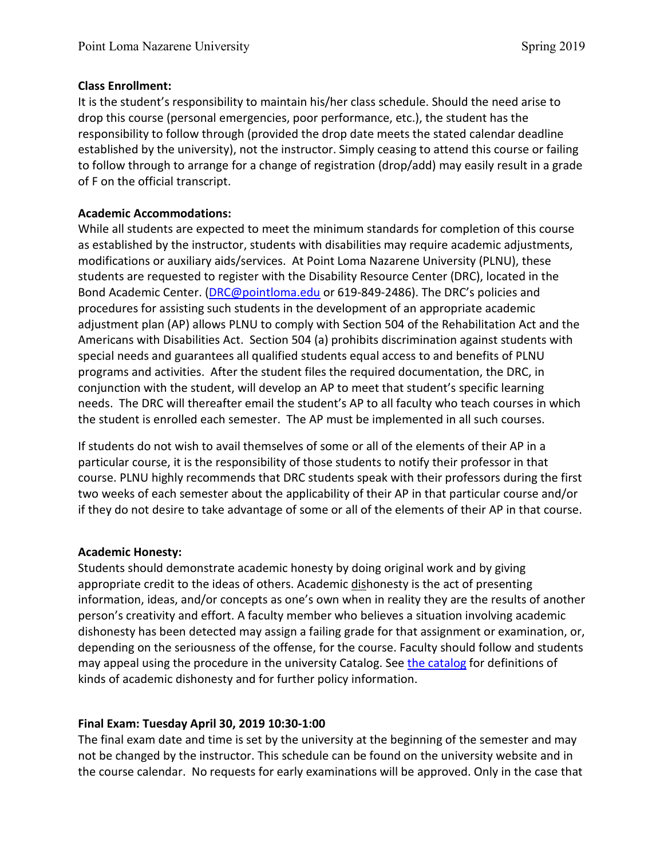## **Class Enrollment:**

It is the student's responsibility to maintain his/her class schedule. Should the need arise to drop this course (personal emergencies, poor performance, etc.), the student has the responsibility to follow through (provided the drop date meets the stated calendar deadline established by the university), not the instructor. Simply ceasing to attend this course or failing to follow through to arrange for a change of registration (drop/add) may easily result in a grade of F on the official transcript.

# **Academic Accommodations:**

While all students are expected to meet the minimum standards for completion of this course as established by the instructor, students with disabilities may require academic adjustments, modifications or auxiliary aids/services. At Point Loma Nazarene University (PLNU), these students are requested to register with the Disability Resource Center (DRC), located in the Bond Academic Center. [\(DRC@pointloma.edu](mailto:DRC@pointloma.edu) or 619-849-2486). The DRC's policies and procedures for assisting such students in the development of an appropriate academic adjustment plan (AP) allows PLNU to comply with Section 504 of the Rehabilitation Act and the Americans with Disabilities Act. Section 504 (a) prohibits discrimination against students with special needs and guarantees all qualified students equal access to and benefits of PLNU programs and activities. After the student files the required documentation, the DRC, in conjunction with the student, will develop an AP to meet that student's specific learning needs. The DRC will thereafter email the student's AP to all faculty who teach courses in which the student is enrolled each semester. The AP must be implemented in all such courses.

If students do not wish to avail themselves of some or all of the elements of their AP in a particular course, it is the responsibility of those students to notify their professor in that course. PLNU highly recommends that DRC students speak with their professors during the first two weeks of each semester about the applicability of their AP in that particular course and/or if they do not desire to take advantage of some or all of the elements of their AP in that course.

# **Academic Honesty:**

Students should demonstrate academic honesty by doing original work and by giving appropriate credit to the ideas of others. Academic dishonesty is the act of presenting information, ideas, and/or concepts as one's own when in reality they are the results of another person's creativity and effort. A faculty member who believes a situation involving academic dishonesty has been detected may assign a failing grade for that assignment or examination, or, depending on the seriousness of the offense, for the course. Faculty should follow and students may appeal using the procedure in the university Catalog. Se[e the catalog](https://catalog.pointloma.edu/content.php?catoid=28&navoid=1761#Academic_Honesty) for definitions of kinds of academic dishonesty and for further policy information.

# **Final Exam: Tuesday April 30, 2019 10:30-1:00**

The final exam date and time is set by the university at the beginning of the semester and may not be changed by the instructor. This schedule can be found on the university website and in the course calendar. No requests for early examinations will be approved. Only in the case that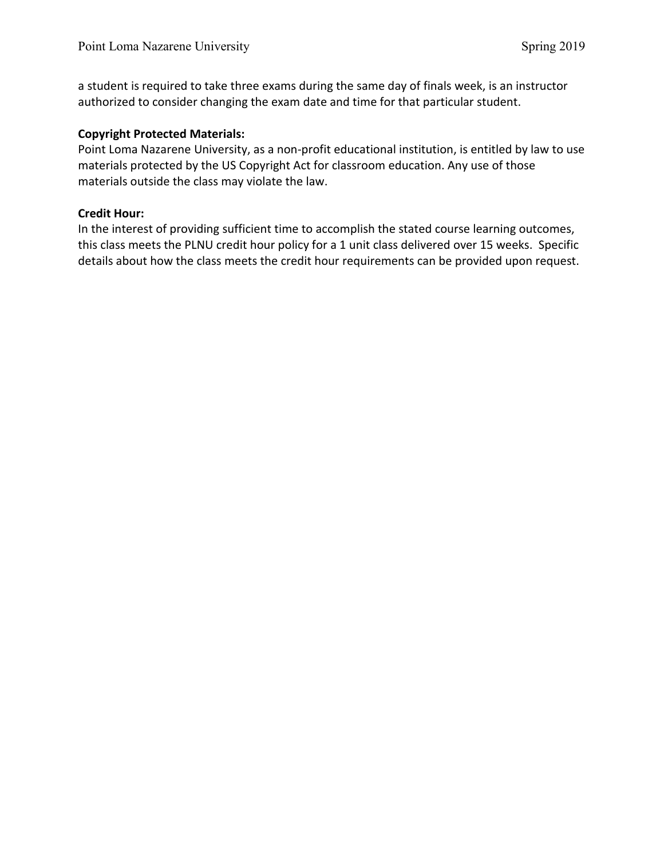a student is required to take three exams during the same day of finals week, is an instructor authorized to consider changing the exam date and time for that particular student.

## **Copyright Protected Materials:**

Point Loma Nazarene University, as a non-profit educational institution, is entitled by law to use materials protected by the US Copyright Act for classroom education. Any use of those materials outside the class may violate the law.

### **Credit Hour:**

In the interest of providing sufficient time to accomplish the stated course learning outcomes, this class meets the PLNU credit hour policy for a 1 unit class delivered over 15 weeks. Specific details about how the class meets the credit hour requirements can be provided upon request.